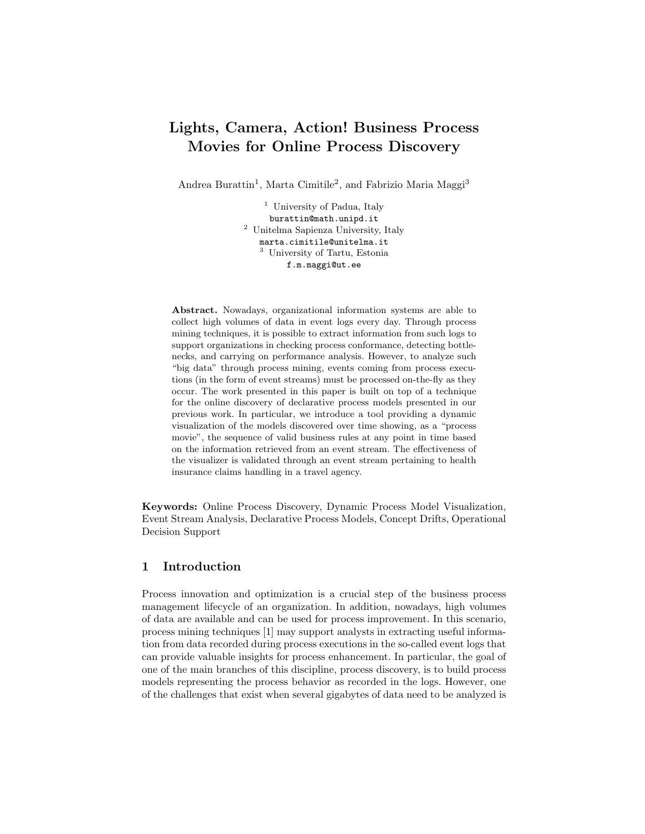# Lights, Camera, Action! Business Process Movies for Online Process Discovery

Andrea Burattin<sup>1</sup>, Marta Cimitile<sup>2</sup>, and Fabrizio Maria Maggi<sup>3</sup>

<sup>1</sup> University of Padua, Italy burattin@math.unipd.it <sup>2</sup> Unitelma Sapienza University, Italy marta.cimitile@unitelma.it <sup>3</sup> University of Tartu, Estonia f.m.maggi@ut.ee

Abstract. Nowadays, organizational information systems are able to collect high volumes of data in event logs every day. Through process mining techniques, it is possible to extract information from such logs to support organizations in checking process conformance, detecting bottlenecks, and carrying on performance analysis. However, to analyze such "big data" through process mining, events coming from process executions (in the form of event streams) must be processed on-the-fly as they occur. The work presented in this paper is built on top of a technique for the online discovery of declarative process models presented in our previous work. In particular, we introduce a tool providing a dynamic visualization of the models discovered over time showing, as a "process movie", the sequence of valid business rules at any point in time based on the information retrieved from an event stream. The effectiveness of the visualizer is validated through an event stream pertaining to health insurance claims handling in a travel agency.

Keywords: Online Process Discovery, Dynamic Process Model Visualization, Event Stream Analysis, Declarative Process Models, Concept Drifts, Operational Decision Support

### 1 Introduction

Process innovation and optimization is a crucial step of the business process management lifecycle of an organization. In addition, nowadays, high volumes of data are available and can be used for process improvement. In this scenario, process mining techniques [1] may support analysts in extracting useful information from data recorded during process executions in the so-called event logs that can provide valuable insights for process enhancement. In particular, the goal of one of the main branches of this discipline, process discovery, is to build process models representing the process behavior as recorded in the logs. However, one of the challenges that exist when several gigabytes of data need to be analyzed is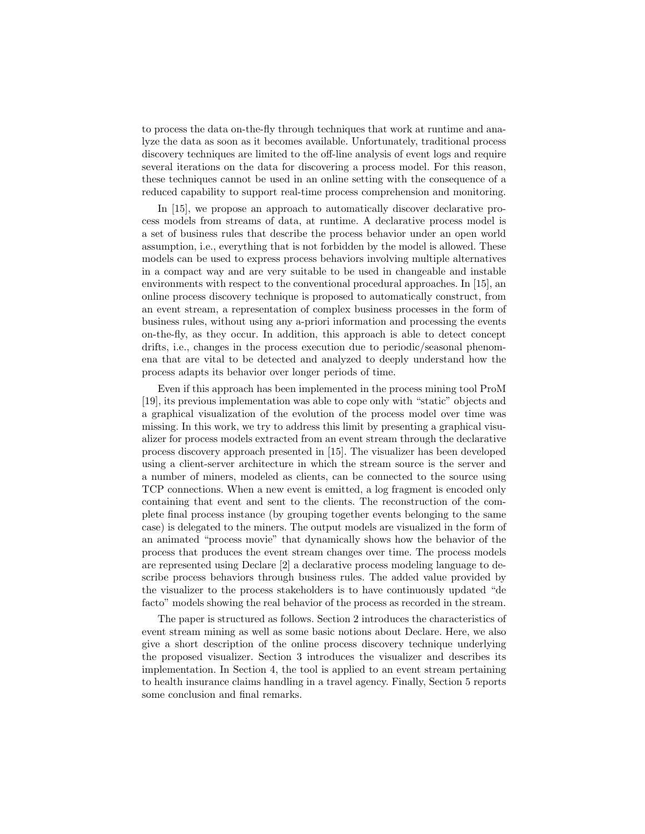to process the data on-the-fly through techniques that work at runtime and analyze the data as soon as it becomes available. Unfortunately, traditional process discovery techniques are limited to the off-line analysis of event logs and require several iterations on the data for discovering a process model. For this reason, these techniques cannot be used in an online setting with the consequence of a reduced capability to support real-time process comprehension and monitoring.

In [15], we propose an approach to automatically discover declarative process models from streams of data, at runtime. A declarative process model is a set of business rules that describe the process behavior under an open world assumption, i.e., everything that is not forbidden by the model is allowed. These models can be used to express process behaviors involving multiple alternatives in a compact way and are very suitable to be used in changeable and instable environments with respect to the conventional procedural approaches. In [15], an online process discovery technique is proposed to automatically construct, from an event stream, a representation of complex business processes in the form of business rules, without using any a-priori information and processing the events on-the-fly, as they occur. In addition, this approach is able to detect concept drifts, i.e., changes in the process execution due to periodic/seasonal phenomena that are vital to be detected and analyzed to deeply understand how the process adapts its behavior over longer periods of time.

Even if this approach has been implemented in the process mining tool ProM [19], its previous implementation was able to cope only with "static" objects and a graphical visualization of the evolution of the process model over time was missing. In this work, we try to address this limit by presenting a graphical visualizer for process models extracted from an event stream through the declarative process discovery approach presented in [15]. The visualizer has been developed using a client-server architecture in which the stream source is the server and a number of miners, modeled as clients, can be connected to the source using TCP connections. When a new event is emitted, a log fragment is encoded only containing that event and sent to the clients. The reconstruction of the complete final process instance (by grouping together events belonging to the same case) is delegated to the miners. The output models are visualized in the form of an animated "process movie" that dynamically shows how the behavior of the process that produces the event stream changes over time. The process models are represented using Declare [2] a declarative process modeling language to describe process behaviors through business rules. The added value provided by the visualizer to the process stakeholders is to have continuously updated "de facto" models showing the real behavior of the process as recorded in the stream.

The paper is structured as follows. Section 2 introduces the characteristics of event stream mining as well as some basic notions about Declare. Here, we also give a short description of the online process discovery technique underlying the proposed visualizer. Section 3 introduces the visualizer and describes its implementation. In Section 4, the tool is applied to an event stream pertaining to health insurance claims handling in a travel agency. Finally, Section 5 reports some conclusion and final remarks.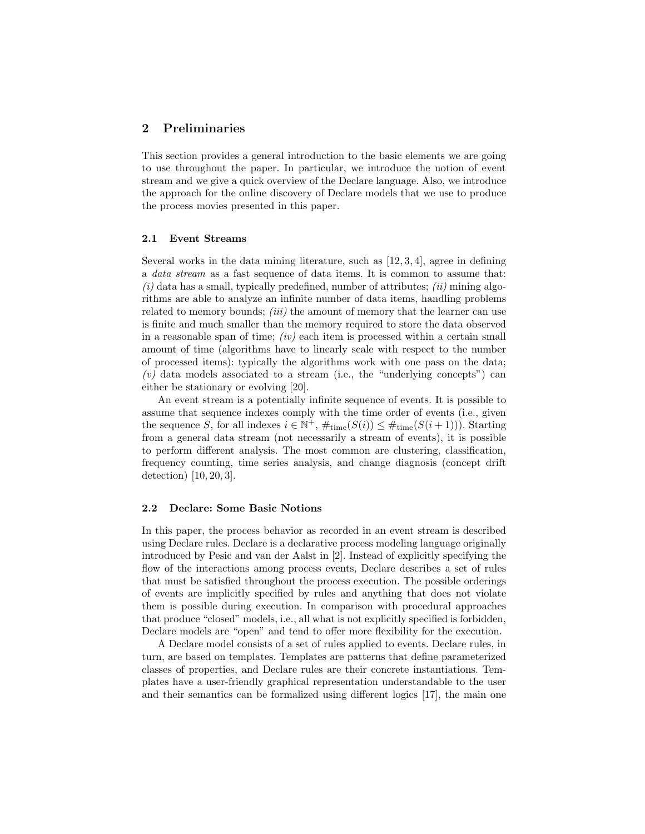### 2 Preliminaries

This section provides a general introduction to the basic elements we are going to use throughout the paper. In particular, we introduce the notion of event stream and we give a quick overview of the Declare language. Also, we introduce the approach for the online discovery of Declare models that we use to produce the process movies presented in this paper.

#### 2.1 Event Streams

Several works in the data mining literature, such as [12, 3, 4], agree in defining a data stream as a fast sequence of data items. It is common to assume that:  $(i)$  data has a small, typically predefined, number of attributes;  $(ii)$  mining algorithms are able to analyze an infinite number of data items, handling problems related to memory bounds; *(iii)* the amount of memory that the learner can use is finite and much smaller than the memory required to store the data observed in a reasonable span of time;  $(iv)$  each item is processed within a certain small amount of time (algorithms have to linearly scale with respect to the number of processed items): typically the algorithms work with one pass on the data;  $(v)$  data models associated to a stream (i.e., the "underlying concepts") can either be stationary or evolving [20].

An event stream is a potentially infinite sequence of events. It is possible to assume that sequence indexes comply with the time order of events (i.e., given the sequence S, for all indexes  $i \in \mathbb{N}^+$ ,  $\#_{time}(S(i)) \leq \#_{time}(S(i+1))$ . Starting from a general data stream (not necessarily a stream of events), it is possible to perform different analysis. The most common are clustering, classification, frequency counting, time series analysis, and change diagnosis (concept drift detection) [10, 20, 3].

#### 2.2 Declare: Some Basic Notions

In this paper, the process behavior as recorded in an event stream is described using Declare rules. Declare is a declarative process modeling language originally introduced by Pesic and van der Aalst in [2]. Instead of explicitly specifying the flow of the interactions among process events, Declare describes a set of rules that must be satisfied throughout the process execution. The possible orderings of events are implicitly specified by rules and anything that does not violate them is possible during execution. In comparison with procedural approaches that produce "closed" models, i.e., all what is not explicitly specified is forbidden, Declare models are "open" and tend to offer more flexibility for the execution.

A Declare model consists of a set of rules applied to events. Declare rules, in turn, are based on templates. Templates are patterns that define parameterized classes of properties, and Declare rules are their concrete instantiations. Templates have a user-friendly graphical representation understandable to the user and their semantics can be formalized using different logics [17], the main one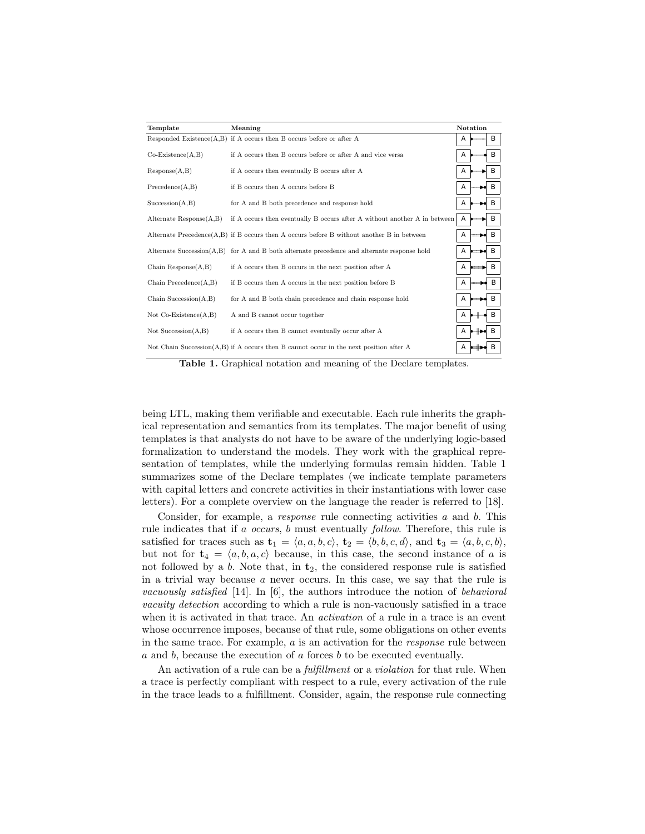| Template                     | Meaning                                                                                        | Notation    |
|------------------------------|------------------------------------------------------------------------------------------------|-------------|
|                              | Responded Existence $(A,B)$ if A occurs then B occurs before or after A                        | В<br>Α      |
| $Co\text{-Existence}(A,B)$   | if A occurs then B occurs before or after A and vice versa                                     | B<br>Α      |
| Respose(A, B)                | if A occurs then eventually B occurs after A                                                   | B<br>Α      |
| Precedence(A,B)              | if B occurs then A occurs before B                                                             | B<br>Α      |
| Succession(A,B)              | for A and B both precedence and response hold                                                  | B<br>A<br>× |
| $Alternate$ Response $(A,B)$ | if A occurs then eventually B occurs after A without another A in between                      | В<br>Α      |
|                              | Alternate Precedence $(A,B)$ if B occurs then A occurs before B without another B in between   | B<br>A      |
|                              | Alternate Succession $(A,B)$ for A and B both alternate precedence and alternate response hold | В<br>Α      |
| Chain $Response(A,B)$        | if A occurs then B occurs in the next position after A                                         | B<br>A      |
| Chain Precedence $(A,B)$     | if B occurs then A occurs in the next position before B                                        | B<br>A      |
| Chain Succession $(A,B)$     | for A and B both chain precedence and chain response hold                                      | B<br>А      |
| Not $Co-Existence(A,B)$      | A and B cannot occur together                                                                  | B<br>Α      |
| Not Succession $(A,B)$       | if A occurs then B cannot eventually occur after A                                             | A<br>B      |
|                              | Not Chain Succession $(A, B)$ if A occurs then B cannot occur in the next position after A     | в<br>А      |

Table 1. Graphical notation and meaning of the Declare templates.

being LTL, making them verifiable and executable. Each rule inherits the graphical representation and semantics from its templates. The major benefit of using templates is that analysts do not have to be aware of the underlying logic-based formalization to understand the models. They work with the graphical representation of templates, while the underlying formulas remain hidden. Table 1 summarizes some of the Declare templates (we indicate template parameters with capital letters and concrete activities in their instantiations with lower case letters). For a complete overview on the language the reader is referred to [18].

Consider, for example, a response rule connecting activities a and b. This rule indicates that if a occurs, b must eventually *follow*. Therefore, this rule is satisfied for traces such as  $\mathbf{t}_1 = \langle a, a, b, c \rangle$ ,  $\mathbf{t}_2 = \langle b, b, c, d \rangle$ , and  $\mathbf{t}_3 = \langle a, b, c, b \rangle$ , but not for  $t_4 = \langle a, b, a, c \rangle$  because, in this case, the second instance of a is not followed by a b. Note that, in  $t_2$ , the considered response rule is satisfied in a trivial way because a never occurs. In this case, we say that the rule is *vacuously satisfied* [14]. In [6], the authors introduce the notion of *behavioral* vacuity detection according to which a rule is non-vacuously satisfied in a trace when it is activated in that trace. An *activation* of a rule in a trace is an event whose occurrence imposes, because of that rule, some obligations on other events in the same trace. For example, a is an activation for the response rule between  $a$  and  $b$ , because the execution of  $a$  forces  $b$  to be executed eventually.

An activation of a rule can be a *fulfillment* or a *violation* for that rule. When a trace is perfectly compliant with respect to a rule, every activation of the rule in the trace leads to a fulfillment. Consider, again, the response rule connecting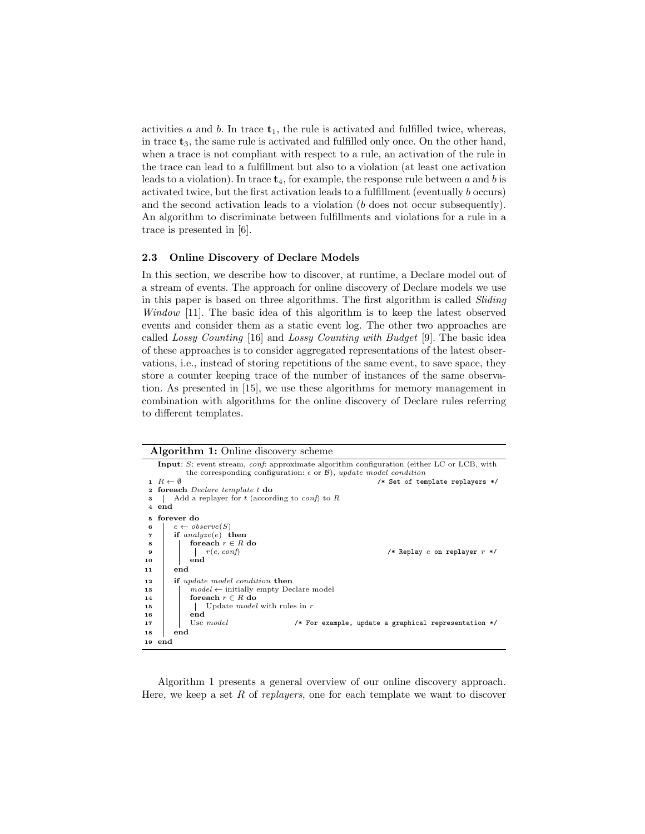activities  $a$  and  $b$ . In trace  $t_1$ , the rule is activated and fulfilled twice, whereas, in trace  $t_3$ , the same rule is activated and fulfilled only once. On the other hand, when a trace is not compliant with respect to a rule, an activation of the rule in the trace can lead to a fulfillment but also to a violation (at least one activation leads to a violation). In trace  $t_4$ , for example, the response rule between a and b is activated twice, but the first activation leads to a fulfillment (eventually b occurs) and the second activation leads to a violation  $(b \text{ does not occur subsequently}).$ An algorithm to discriminate between fulfillments and violations for a rule in a trace is presented in [6].

#### 2.3 Online Discovery of Declare Models

In this section, we describe how to discover, at runtime, a Declare model out of a stream of events. The approach for online discovery of Declare models we use in this paper is based on three algorithms. The first algorithm is called Sliding Window [11]. The basic idea of this algorithm is to keep the latest observed events and consider them as a static event log. The other two approaches are called Lossy Counting [16] and Lossy Counting with Budget [9]. The basic idea of these approaches is to consider aggregated representations of the latest observations, i.e., instead of storing repetitions of the same event, to save space, they store a counter keeping trace of the number of instances of the same observation. As presented in [15], we use these algorithms for memory management in combination with algorithms for the online discovery of Declare rules referring to different templates.

| <b>Algorithm 1:</b> Online discovery scheme                                                      |  |  |  |
|--------------------------------------------------------------------------------------------------|--|--|--|
| <b>Input:</b> S: event stream, conf: approximate algorithm configuration (either LC or LCB, with |  |  |  |
| the corresponding configuration: $\epsilon$ or $\mathcal{B}$ ), update model condition           |  |  |  |
| $1 \quad R \leftarrow \emptyset$<br>/* Set of template replayers */                              |  |  |  |
| foreach Declare template t do                                                                    |  |  |  |
| Add a replayer for $t$ (according to <i>conf</i> ) to $R$<br>з                                   |  |  |  |
| 4 end                                                                                            |  |  |  |
| forever do<br>5                                                                                  |  |  |  |
| $e \leftarrow \text{observe}(S)$<br>6                                                            |  |  |  |
| if $analyze(e)$ then<br>7                                                                        |  |  |  |
| foreach $r \in R$ do<br>8                                                                        |  |  |  |
| $r(e, \text{conf})$<br>/* Replay $e$ on replayer $r *$ /<br>9                                    |  |  |  |
| end<br>10                                                                                        |  |  |  |
| end<br>11                                                                                        |  |  |  |
| <b>if</b> update model condition <b>then</b><br>12                                               |  |  |  |
| $model \leftarrow$ initially empty Declare model<br>13                                           |  |  |  |
| foreach $r \in R$ do                                                                             |  |  |  |
| Update <i>model</i> with rules in $r$                                                            |  |  |  |
| end<br>16                                                                                        |  |  |  |
| Use model<br>/* For example, update a graphical representation */<br>17                          |  |  |  |
| end<br>18                                                                                        |  |  |  |
| 19 end                                                                                           |  |  |  |

Algorithm 1 presents a general overview of our online discovery approach. Here, we keep a set  $R$  of *replayers*, one for each template we want to discover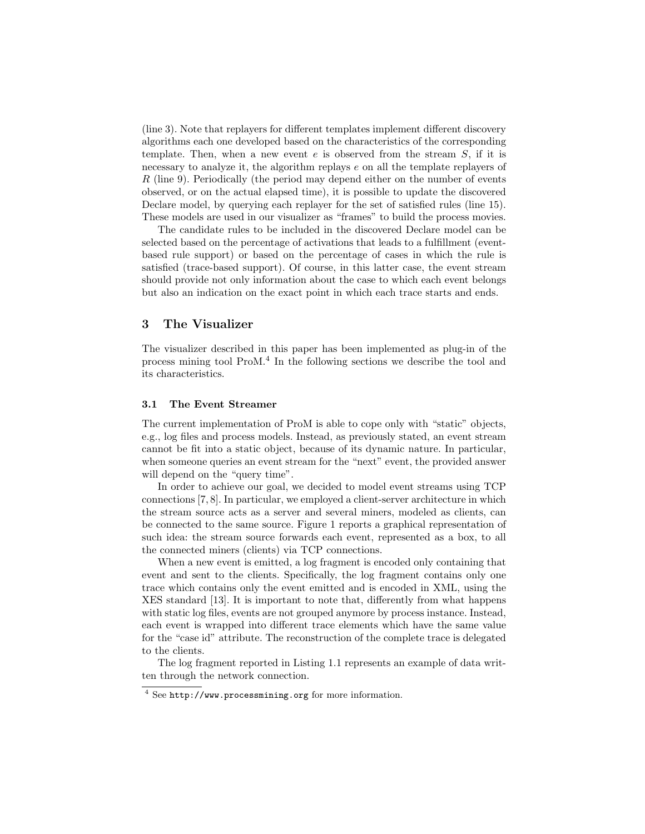(line 3). Note that replayers for different templates implement different discovery algorithms each one developed based on the characteristics of the corresponding template. Then, when a new event  $e$  is observed from the stream  $S$ , if it is necessary to analyze it, the algorithm replays e on all the template replayers of R (line 9). Periodically (the period may depend either on the number of events observed, or on the actual elapsed time), it is possible to update the discovered Declare model, by querying each replayer for the set of satisfied rules (line 15). These models are used in our visualizer as "frames" to build the process movies.

The candidate rules to be included in the discovered Declare model can be selected based on the percentage of activations that leads to a fulfillment (eventbased rule support) or based on the percentage of cases in which the rule is satisfied (trace-based support). Of course, in this latter case, the event stream should provide not only information about the case to which each event belongs but also an indication on the exact point in which each trace starts and ends.

### 3 The Visualizer

The visualizer described in this paper has been implemented as plug-in of the process mining tool ProM.<sup>4</sup> In the following sections we describe the tool and its characteristics.

#### 3.1 The Event Streamer

The current implementation of ProM is able to cope only with "static" objects, e.g., log files and process models. Instead, as previously stated, an event stream cannot be fit into a static object, because of its dynamic nature. In particular, when someone queries an event stream for the "next" event, the provided answer will depend on the "query time".

In order to achieve our goal, we decided to model event streams using TCP connections [7, 8]. In particular, we employed a client-server architecture in which the stream source acts as a server and several miners, modeled as clients, can be connected to the same source. Figure 1 reports a graphical representation of such idea: the stream source forwards each event, represented as a box, to all the connected miners (clients) via TCP connections.

When a new event is emitted, a log fragment is encoded only containing that event and sent to the clients. Specifically, the log fragment contains only one trace which contains only the event emitted and is encoded in XML, using the XES standard [13]. It is important to note that, differently from what happens with static log files, events are not grouped anymore by process instance. Instead, each event is wrapped into different trace elements which have the same value for the "case id" attribute. The reconstruction of the complete trace is delegated to the clients.

The log fragment reported in Listing 1.1 represents an example of data written through the network connection.

 $\frac{4}{4}$  See http://www.processmining.org for more information.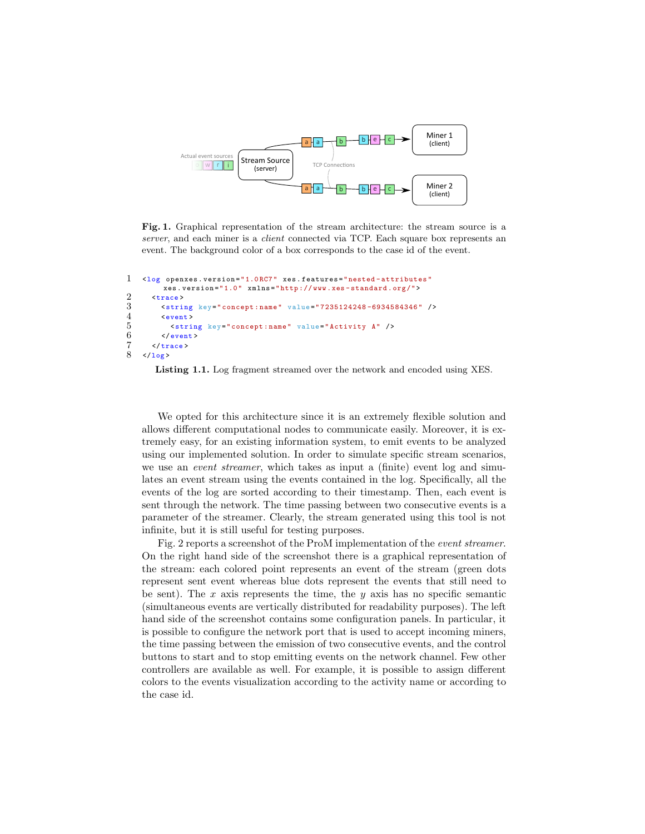

Fig. 1. Graphical representation of the stream architecture: the stream source is a server, and each miner is a *client* connected via TCP. Each square box represents an event. The background color of a box corresponds to the case id of the event.

```
1 <log openxes . version =" 1.0 RC7 " xes . features =" nested - attributes "
          xes . version =" 1.0 " xmlns =" http :// www.xes - standard . org /">
2 \times \text{trace}<br>3 \leftarrow3 <string key =" concept : name " value =" 7235124248 -6934584346 " />
4 <event><br>5 <event>
5 <string key =" concept : name " value =" Activity A" />
6 </event><br>
7 </trace>
       \langle/trace >
8 \times / \log
```
Listing 1.1. Log fragment streamed over the network and encoded using XES.

We opted for this architecture since it is an extremely flexible solution and allows different computational nodes to communicate easily. Moreover, it is extremely easy, for an existing information system, to emit events to be analyzed using our implemented solution. In order to simulate specific stream scenarios, we use an event streamer, which takes as input a (finite) event log and simulates an event stream using the events contained in the log. Specifically, all the events of the log are sorted according to their timestamp. Then, each event is sent through the network. The time passing between two consecutive events is a parameter of the streamer. Clearly, the stream generated using this tool is not infinite, but it is still useful for testing purposes.

Fig. 2 reports a screenshot of the ProM implementation of the event streamer. On the right hand side of the screenshot there is a graphical representation of the stream: each colored point represents an event of the stream (green dots represent sent event whereas blue dots represent the events that still need to be sent). The x axis represents the time, the y axis has no specific semantic (simultaneous events are vertically distributed for readability purposes). The left hand side of the screenshot contains some configuration panels. In particular, it is possible to configure the network port that is used to accept incoming miners, the time passing between the emission of two consecutive events, and the control buttons to start and to stop emitting events on the network channel. Few other controllers are available as well. For example, it is possible to assign different colors to the events visualization according to the activity name or according to the case id.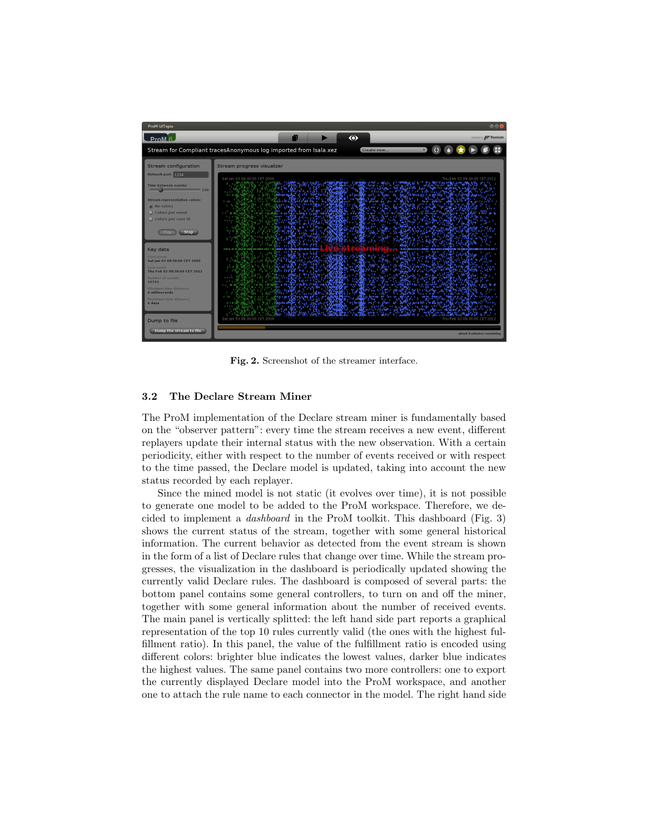

Fig. 2. Screenshot of the streamer interface.

#### 3.2 The Declare Stream Miner

The ProM implementation of the Declare stream miner is fundamentally based on the "observer pattern": every time the stream receives a new event, different replayers update their internal status with the new observation. With a certain periodicity, either with respect to the number of events received or with respect to the time passed, the Declare model is updated, taking into account the new status recorded by each replayer.

Since the mined model is not static (it evolves over time), it is not possible to generate one model to be added to the ProM workspace. Therefore, we decided to implement a dashboard in the ProM toolkit. This dashboard (Fig. 3) shows the current status of the stream, together with some general historical information. The current behavior as detected from the event stream is shown in the form of a list of Declare rules that change over time. While the stream progresses, the visualization in the dashboard is periodically updated showing the currently valid Declare rules. The dashboard is composed of several parts: the bottom panel contains some general controllers, to turn on and off the miner, together with some general information about the number of received events. The main panel is vertically splitted: the left hand side part reports a graphical representation of the top 10 rules currently valid (the ones with the highest fulfillment ratio). In this panel, the value of the fulfillment ratio is encoded using different colors: brighter blue indicates the lowest values, darker blue indicates the highest values. The same panel contains two more controllers: one to export the currently displayed Declare model into the ProM workspace, and another one to attach the rule name to each connector in the model. The right hand side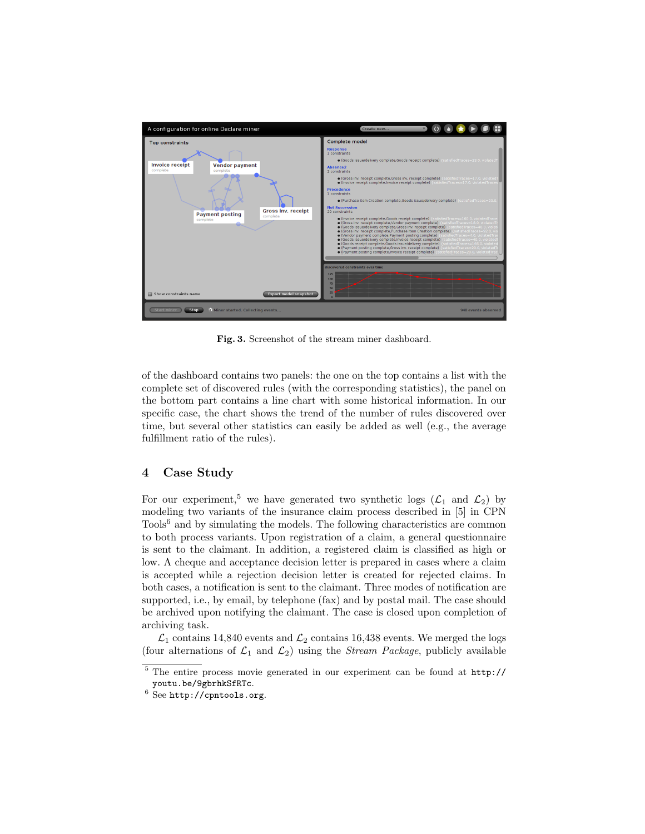

Fig. 3. Screenshot of the stream miner dashboard.

of the dashboard contains two panels: the one on the top contains a list with the complete set of discovered rules (with the corresponding statistics), the panel on the bottom part contains a line chart with some historical information. In our specific case, the chart shows the trend of the number of rules discovered over time, but several other statistics can easily be added as well (e.g., the average fulfillment ratio of the rules).

### 4 Case Study

For our experiment,<sup>5</sup> we have generated two synthetic logs ( $\mathcal{L}_1$  and  $\mathcal{L}_2$ ) by modeling two variants of the insurance claim process described in [5] in CPN Tools<sup>6</sup> and by simulating the models. The following characteristics are common to both process variants. Upon registration of a claim, a general questionnaire is sent to the claimant. In addition, a registered claim is classified as high or low. A cheque and acceptance decision letter is prepared in cases where a claim is accepted while a rejection decision letter is created for rejected claims. In both cases, a notification is sent to the claimant. Three modes of notification are supported, i.e., by email, by telephone (fax) and by postal mail. The case should be archived upon notifying the claimant. The case is closed upon completion of archiving task.

 $\mathcal{L}_1$  contains 14,840 events and  $\mathcal{L}_2$  contains 16,438 events. We merged the logs (four alternations of  $\mathcal{L}_1$  and  $\mathcal{L}_2$ ) using the *Stream Package*, publicly available

<sup>5</sup> The entire process movie generated in our experiment can be found at http:// youtu.be/9gbrhkSfRTc.

 $6$  See http://cpntools.org.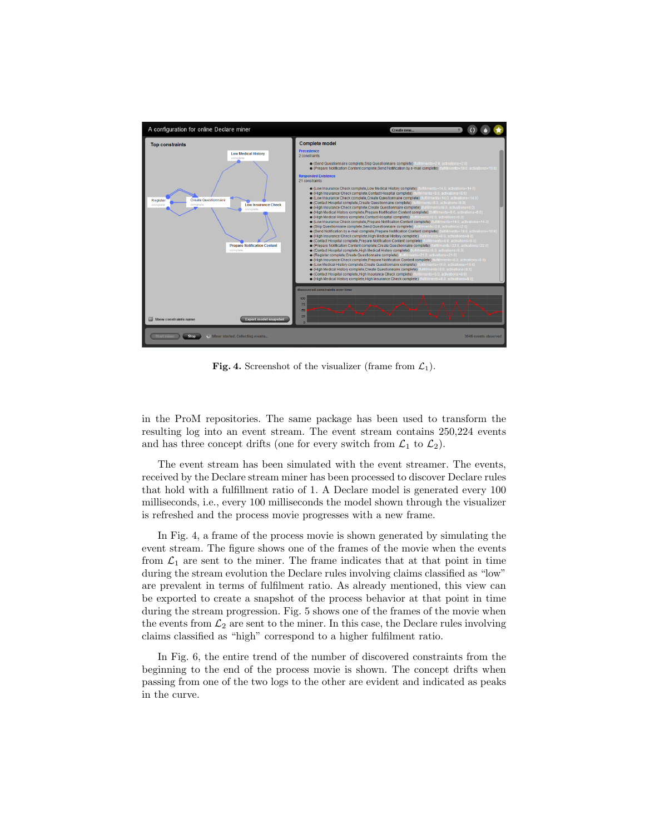

**Fig. 4.** Screenshot of the visualizer (frame from  $\mathcal{L}_1$ ).

in the ProM repositories. The same package has been used to transform the resulting log into an event stream. The event stream contains 250,224 events and has three concept drifts (one for every switch from  $\mathcal{L}_1$  to  $\mathcal{L}_2$ ).

The event stream has been simulated with the event streamer. The events, received by the Declare stream miner has been processed to discover Declare rules that hold with a fulfillment ratio of 1. A Declare model is generated every 100 milliseconds, i.e., every 100 milliseconds the model shown through the visualizer is refreshed and the process movie progresses with a new frame.

In Fig. 4, a frame of the process movie is shown generated by simulating the event stream. The figure shows one of the frames of the movie when the events from  $\mathcal{L}_1$  are sent to the miner. The frame indicates that at that point in time during the stream evolution the Declare rules involving claims classified as "low" are prevalent in terms of fulfilment ratio. As already mentioned, this view can be exported to create a snapshot of the process behavior at that point in time during the stream progression. Fig. 5 shows one of the frames of the movie when the events from  $\mathcal{L}_2$  are sent to the miner. In this case, the Declare rules involving claims classified as "high" correspond to a higher fulfilment ratio.

In Fig. 6, the entire trend of the number of discovered constraints from the beginning to the end of the process movie is shown. The concept drifts when passing from one of the two logs to the other are evident and indicated as peaks in the curve.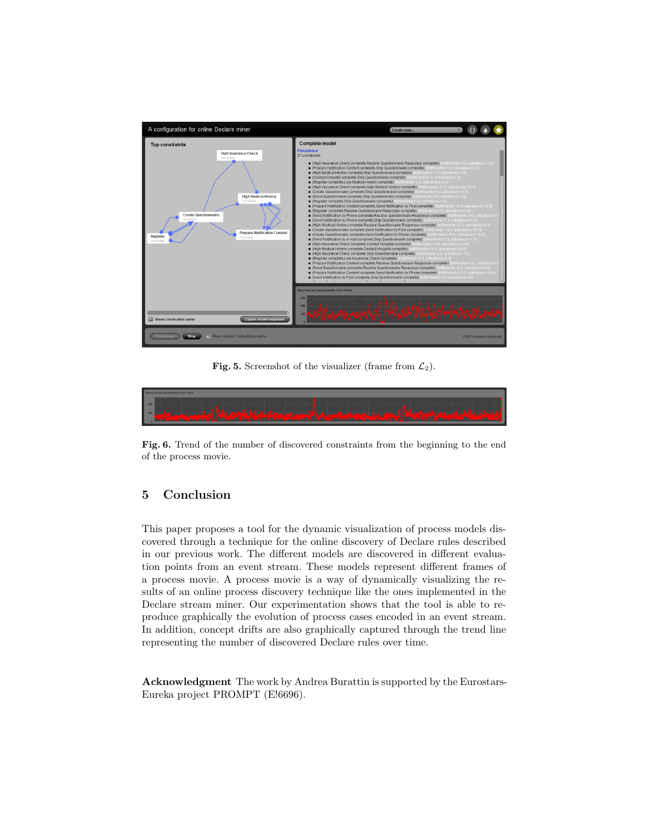

Fig. 5. Screenshot of the visualizer (frame from  $\mathcal{L}_2$ ).



Fig. 6. Trend of the number of discovered constraints from the beginning to the end of the process movie.

## 5 Conclusion

This paper proposes a tool for the dynamic visualization of process models discovered through a technique for the online discovery of Declare rules described in our previous work. The different models are discovered in different evaluation points from an event stream. These models represent different frames of a process movie. A process movie is a way of dynamically visualizing the results of an online process discovery technique like the ones implemented in the Declare stream miner. Our experimentation shows that the tool is able to reproduce graphically the evolution of process cases encoded in an event stream. In addition, concept drifts are also graphically captured through the trend line representing the number of discovered Declare rules over time.

Acknowledgment The work by Andrea Burattin is supported by the Eurostars-Eureka project PROMPT (E!6696).